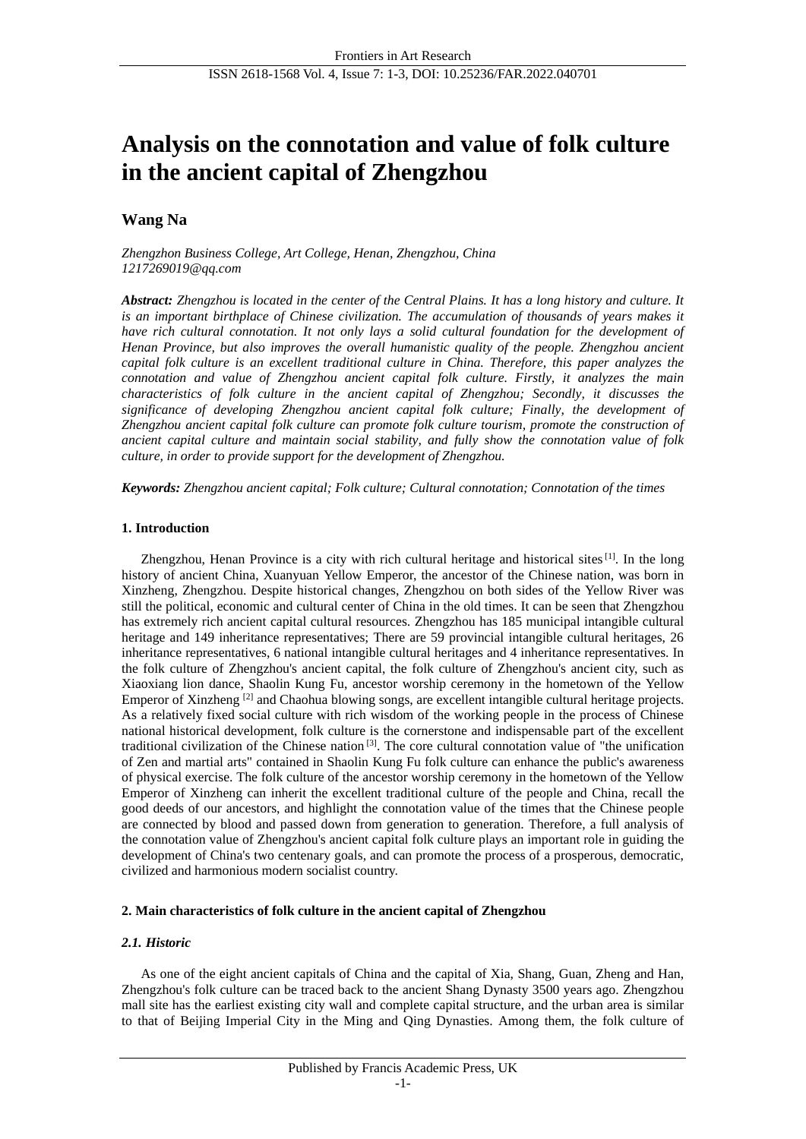# **Analysis on the connotation and value of folk culture in the ancient capital of Zhengzhou**

## **Wang Na**

*Zhengzhon Business College, Art College, Henan, Zhengzhou, China 1217269019@qq.com*

*Abstract: Zhengzhou is located in the center of the Central Plains. It has a long history and culture. It is an important birthplace of Chinese civilization. The accumulation of thousands of years makes it have rich cultural connotation. It not only lays a solid cultural foundation for the development of Henan Province, but also improves the overall humanistic quality of the people. Zhengzhou ancient capital folk culture is an excellent traditional culture in China. Therefore, this paper analyzes the connotation and value of Zhengzhou ancient capital folk culture. Firstly, it analyzes the main characteristics of folk culture in the ancient capital of Zhengzhou; Secondly, it discusses the significance of developing Zhengzhou ancient capital folk culture; Finally, the development of Zhengzhou ancient capital folk culture can promote folk culture tourism, promote the construction of ancient capital culture and maintain social stability, and fully show the connotation value of folk culture, in order to provide support for the development of Zhengzhou.*

*Keywords: Zhengzhou ancient capital; Folk culture; Cultural connotation; Connotation of the times*

## **1. Introduction**

Zhengzhou, Henan Province is a city with rich cultural heritage and historical sites $[1]$ . In the long history of ancient China, Xuanyuan Yellow Emperor, the ancestor of the Chinese nation, was born in Xinzheng, Zhengzhou. Despite historical changes, Zhengzhou on both sides of the Yellow River was still the political, economic and cultural center of China in the old times. It can be seen that Zhengzhou has extremely rich ancient capital cultural resources. Zhengzhou has 185 municipal intangible cultural heritage and 149 inheritance representatives; There are 59 provincial intangible cultural heritages, 26 inheritance representatives, 6 national intangible cultural heritages and 4 inheritance representatives. In the folk culture of Zhengzhou's ancient capital, the folk culture of Zhengzhou's ancient city, such as Xiaoxiang lion dance, Shaolin Kung Fu, ancestor worship ceremony in the hometown of the Yellow Emperor of Xinzheng<sup>[2]</sup> and Chaohua blowing songs, are excellent intangible cultural heritage projects. As a relatively fixed social culture with rich wisdom of the working people in the process of Chinese national historical development, folk culture is the cornerstone and indispensable part of the excellent traditional civilization of the Chinese nation [3] . The core cultural connotation value of "the unification of Zen and martial arts" contained in Shaolin Kung Fu folk culture can enhance the public's awareness of physical exercise. The folk culture of the ancestor worship ceremony in the hometown of the Yellow Emperor of Xinzheng can inherit the excellent traditional culture of the people and China, recall the good deeds of our ancestors, and highlight the connotation value of the times that the Chinese people are connected by blood and passed down from generation to generation. Therefore, a full analysis of the connotation value of Zhengzhou's ancient capital folk culture plays an important role in guiding the development of China's two centenary goals, and can promote the process of a prosperous, democratic, civilized and harmonious modern socialist country.

## **2. Main characteristics of folk culture in the ancient capital of Zhengzhou**

## *2.1. Historic*

As one of the eight ancient capitals of China and the capital of Xia, Shang, Guan, Zheng and Han, Zhengzhou's folk culture can be traced back to the ancient Shang Dynasty 3500 years ago. Zhengzhou mall site has the earliest existing city wall and complete capital structure, and the urban area is similar to that of Beijing Imperial City in the Ming and Qing Dynasties. Among them, the folk culture of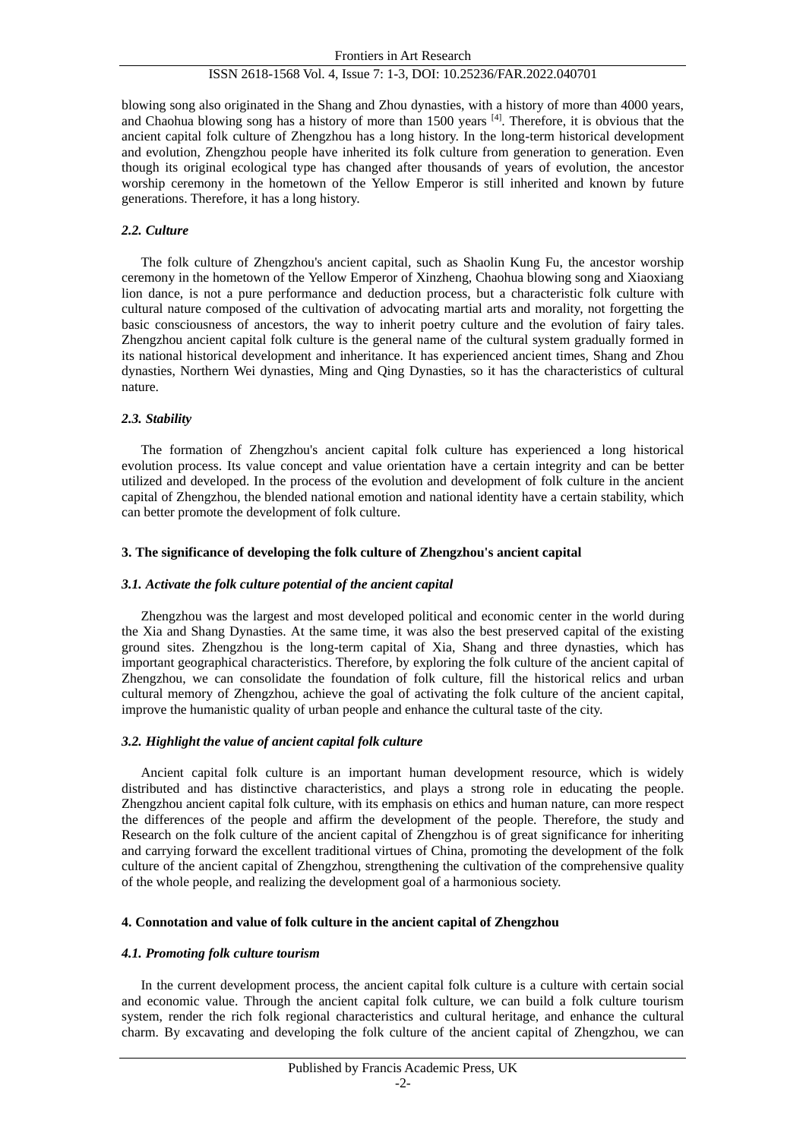## ISSN 2618-1568 Vol. 4, Issue 7: 1-3, DOI: 10.25236/FAR.2022.040701

blowing song also originated in the Shang and Zhou dynasties, with a history of more than 4000 years, and Chaohua blowing song has a history of more than 1500 years [4]. Therefore, it is obvious that the ancient capital folk culture of Zhengzhou has a long history. In the long-term historical development and evolution, Zhengzhou people have inherited its folk culture from generation to generation. Even though its original ecological type has changed after thousands of years of evolution, the ancestor worship ceremony in the hometown of the Yellow Emperor is still inherited and known by future generations. Therefore, it has a long history.

## *2.2. Culture*

The folk culture of Zhengzhou's ancient capital, such as Shaolin Kung Fu, the ancestor worship ceremony in the hometown of the Yellow Emperor of Xinzheng, Chaohua blowing song and Xiaoxiang lion dance, is not a pure performance and deduction process, but a characteristic folk culture with cultural nature composed of the cultivation of advocating martial arts and morality, not forgetting the basic consciousness of ancestors, the way to inherit poetry culture and the evolution of fairy tales. Zhengzhou ancient capital folk culture is the general name of the cultural system gradually formed in its national historical development and inheritance. It has experienced ancient times, Shang and Zhou dynasties, Northern Wei dynasties, Ming and Qing Dynasties, so it has the characteristics of cultural nature.

## *2.3. Stability*

The formation of Zhengzhou's ancient capital folk culture has experienced a long historical evolution process. Its value concept and value orientation have a certain integrity and can be better utilized and developed. In the process of the evolution and development of folk culture in the ancient capital of Zhengzhou, the blended national emotion and national identity have a certain stability, which can better promote the development of folk culture.

## **3. The significance of developing the folk culture of Zhengzhou's ancient capital**

#### *3.1. Activate the folk culture potential of the ancient capital*

Zhengzhou was the largest and most developed political and economic center in the world during the Xia and Shang Dynasties. At the same time, it was also the best preserved capital of the existing ground sites. Zhengzhou is the long-term capital of Xia, Shang and three dynasties, which has important geographical characteristics. Therefore, by exploring the folk culture of the ancient capital of Zhengzhou, we can consolidate the foundation of folk culture, fill the historical relics and urban cultural memory of Zhengzhou, achieve the goal of activating the folk culture of the ancient capital, improve the humanistic quality of urban people and enhance the cultural taste of the city.

## *3.2. Highlight the value of ancient capital folk culture*

Ancient capital folk culture is an important human development resource, which is widely distributed and has distinctive characteristics, and plays a strong role in educating the people. Zhengzhou ancient capital folk culture, with its emphasis on ethics and human nature, can more respect the differences of the people and affirm the development of the people. Therefore, the study and Research on the folk culture of the ancient capital of Zhengzhou is of great significance for inheriting and carrying forward the excellent traditional virtues of China, promoting the development of the folk culture of the ancient capital of Zhengzhou, strengthening the cultivation of the comprehensive quality of the whole people, and realizing the development goal of a harmonious society.

## **4. Connotation and value of folk culture in the ancient capital of Zhengzhou**

#### *4.1. Promoting folk culture tourism*

In the current development process, the ancient capital folk culture is a culture with certain social and economic value. Through the ancient capital folk culture, we can build a folk culture tourism system, render the rich folk regional characteristics and cultural heritage, and enhance the cultural charm. By excavating and developing the folk culture of the ancient capital of Zhengzhou, we can